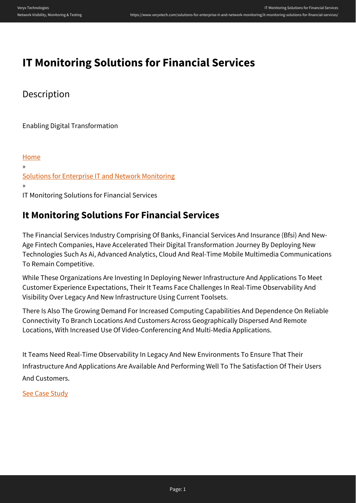# **IT Monitoring Solutions for Financial Services**

## **Description**

Enabling Digital Transformation

[Home](https://www.veryxtech.com) » [Solutions for Enterprise IT and Network Monitoring](https://www.veryxtech.com/solutions-for-enterprise-it-and-network-monitoring/) » IT Monitoring Solutions for Financial Services

# **It Monitoring Solutions For Financial Services**

The Financial Services Industry Comprising Of Banks, Financial Services And Insurance (Bfsi) And New-Age Fintech Companies, Have Accelerated Their Digital Transformation Journey By Deploying New Technologies Such As Ai, Advanced Analytics, Cloud And Real-Time Mobile Multimedia Communications To Remain Competitive.

While These Organizations Are Investing In Deploying Newer Infrastructure And Applications To Meet Customer Experience Expectations, Their It Teams Face Challenges In Real-Time Observability And Visibility Over Legacy And New Infrastructure Using Current Toolsets.

There Is Also The Growing Demand For Increased Computing Capabilities And Dependence On Reliable Connectivity To Branch Locations And Customers Across Geographically Dispersed And Remote Locations, With Increased Use Of Video-Conferencing And Multi-Media Applications.

It Teams Need Real-Time Observability In Legacy And New Environments To Ensure That Their Infrastructure And Applications Are Available And Performing Well To The Satisfaction Of Their Users And Customers.

[See Case Study](#page--1-0)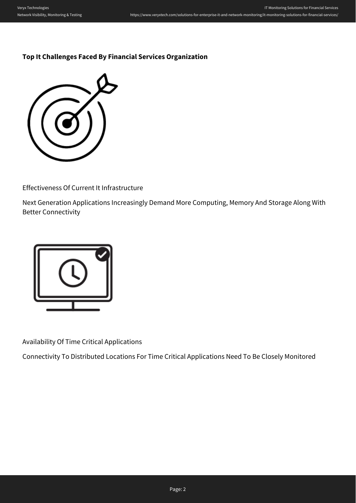### **Top It Challenges Faced By Financial Services Organization**



Effectiveness Of Current It Infrastructure

Next Generation Applications Increasingly Demand More Computing, Memory And Storage Along With Better Connectivity



Availability Of Time Critical Applications

Connectivity To Distributed Locations For Time Critical Applications Need To Be Closely Monitored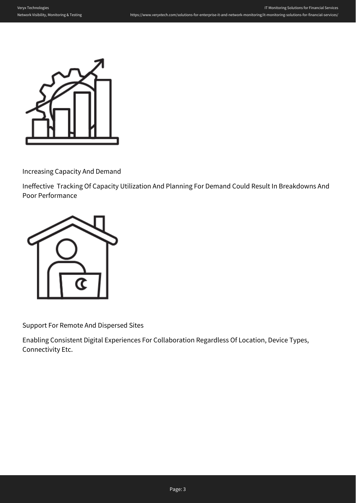

Increasing Capacity And Demand

Ineffective Tracking Of Capacity Utilization And Planning For Demand Could Result In Breakdowns And Poor Performance



Support For Remote And Dispersed Sites

Enabling Consistent Digital Experiences For Collaboration Regardless Of Location, Device Types, Connectivity Etc.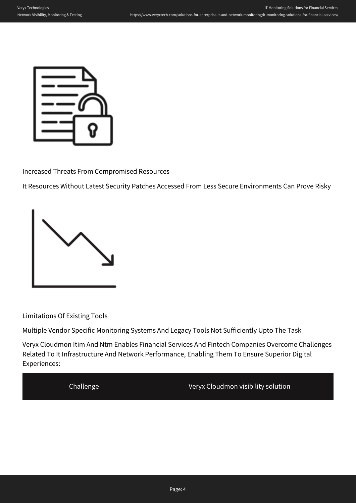

Increased Threats From Compromised Resources

It Resources Without Latest Security Patches Accessed From Less Secure Environments Can Prove Risky



Limitations Of Existing Tools

Multiple Vendor Specific Monitoring Systems And Legacy Tools Not Sufficiently Upto The Task

Veryx Cloudmon Itim And Ntm Enables Financial Services And Fintech Companies Overcome Challenges Related To It Infrastructure And Network Performance, Enabling Them To Ensure Superior Digital Experiences:

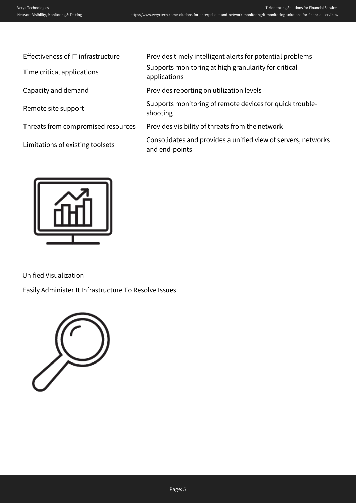| Effectiveness of IT infrastructure | Provides timely intelligent alerts for potential problems                       |
|------------------------------------|---------------------------------------------------------------------------------|
| Time critical applications         | Supports monitoring at high granularity for critical<br>applications            |
| Capacity and demand                | Provides reporting on utilization levels                                        |
| Remote site support                | Supports monitoring of remote devices for quick trouble-<br>shooting            |
| Threats from compromised resources | Provides visibility of threats from the network                                 |
| Limitations of existing toolsets   | Consolidates and provides a unified view of servers, networks<br>and end-points |
|                                    |                                                                                 |



Unified Visualization

Easily Administer It Infrastructure To Resolve Issues.